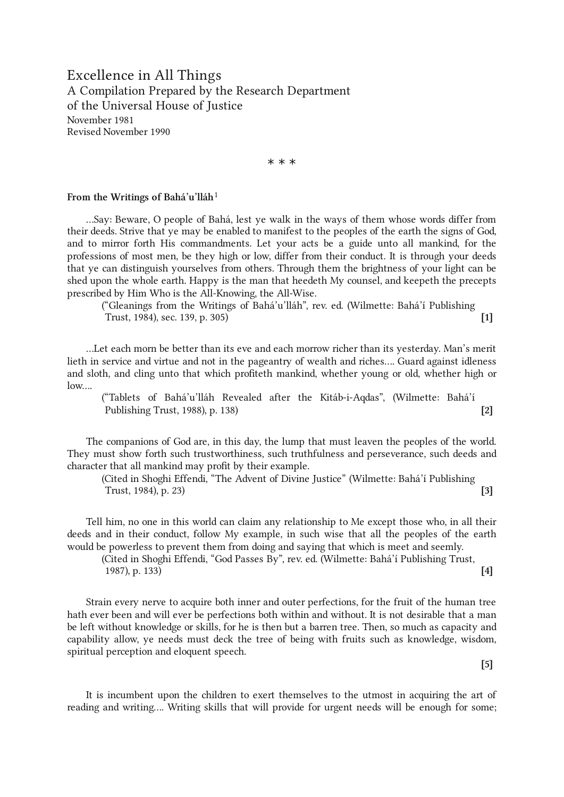# Excellence in All Things A Compilation Prepared by the Research Department of the Universal House of Justice November 1981 Revised November 1990

\* \* \*

# <span id="page-0-0"></span>From the Writings of Bahá'u'lláh $^1$  $^1$

...Say: Beware, O people of Bahá, lest ye walk in the ways of them whose words differ from their deeds. Strive that ye may be enabled to manifest to the peoples of the earth the signs of God, and to mirror forth His commandments. Let your acts be a guide unto all mankind, for the professions of most men, be they high or low, differ from their conduct. It is through your deeds that ye can distinguish yourselves from others. Through them the brightness of your light can be shed upon the whole earth. Happy is the man that heedeth My counsel, and keepeth the precepts prescribed by Him Who is the All-Knowing, the All-Wise.

("Gleanings from the Writings of Bahá'u'lláh", rev. ed. (Wilmette: Bahá'í Publishing Trust, 1984), sec. 139, p. 305) [1]

...Let each morn be better than its eve and each morrow richer than its yesterday. Man's merit lieth in service and virtue and not in the pageantry of wealth and riches.... Guard against idleness and sloth, and cling unto that which profiteth mankind, whether young or old, whether high or  $low...$ 

("Tablets of Bahá'u'lláh Revealed after the Kitáb-i-Aqdas", (Wilmette: Bahá'í Publishing Trust, 1988), p. 138) [2]

The companions of God are, in this day, the lump that must leaven the peoples of the world. They must show forth such trustworthiness, such truthfulness and perseverance, such deeds and character that all mankind may profit by their example.

(Cited in Shoghi Effendi, "The Advent of Divine Justice" (Wilmette: Bahá'í Publishing Trust, 1984), p. 23) [3]

Tell him, no one in this world can claim any relationship to Me except those who, in all their deeds and in their conduct, follow My example, in such wise that all the peoples of the earth would be powerless to prevent them from doing and saying that which is meet and seemly.

(Cited in Shoghi Effendi, "God Passes By", rev. ed. (Wilmette: Bahá'í Publishing Trust, 1987), p. 133) [4]

Strain every nerve to acquire both inner and outer perfections, for the fruit of the human tree hath ever been and will ever be perfections both within and without. It is not desirable that a man be left without knowledge or skills, for he is then but a barren tree. Then, so much as capacity and capability allow, ye needs must deck the tree of being with fruits such as knowledge, wisdom, spiritual perception and eloquent speech.

[5]

It is incumbent upon the children to exert themselves to the utmost in acquiring the art of reading and writing.... Writing skills that will provide for urgent needs will be enough for some;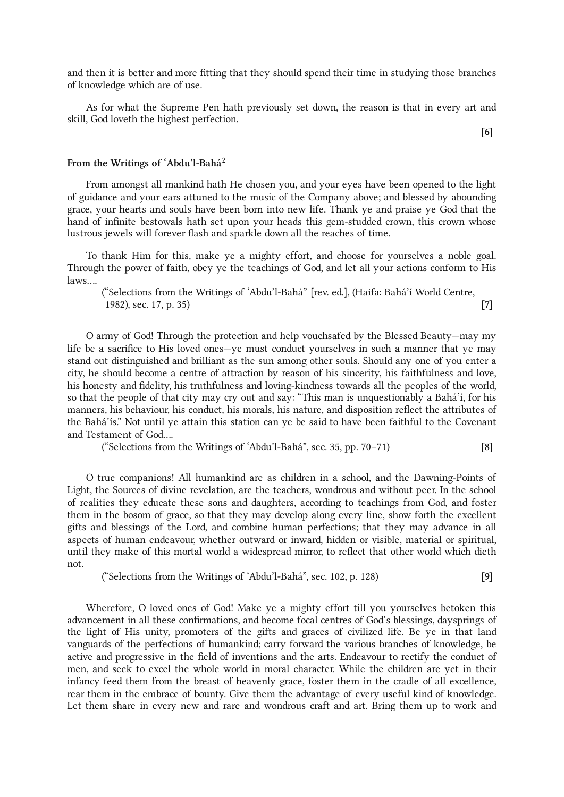and then it is better and more fitting that they should spend their time in studying those branches of knowledge which are of use.

As for what the Supreme Pen hath previously set down, the reason is that in every art and skill, God loveth the highest perfection.

[6]

# <span id="page-1-0"></span>From the Writings of 'Abdu'l-Bahá<sup>[2](#page-11-1)</sup>

From amongst all mankind hath He chosen you, and your eyes have been opened to the light of guidance and your ears attuned to the music of the Company above; and blessed by abounding grace, your hearts and souls have been born into new life. Thank ye and praise ye God that the hand of infinite bestowals hath set upon your heads this gem-studded crown, this crown whose lustrous jewels will forever flash and sparkle down all the reaches of time.

To thank Him for this, make ye a mighty effort, and choose for yourselves a noble goal. Through the power of faith, obey ye the teachings of God, and let all your actions conform to His laws....

("Selections from the Writings of 'Abdu'l-Bahá" [rev. ed.], (Haifa: Bahá'í World Centre, 1982), sec. 17, p. 35) [7]

O army of God! Through the protection and help vouchsafed by the Blessed Beauty—may my life be a sacrifice to His loved ones—ye must conduct yourselves in such a manner that ye may stand out distinguished and brilliant as the sun among other souls. Should any one of you enter a city, he should become a centre of attraction by reason of his sincerity, his faithfulness and love, his honesty and fidelity, his truthfulness and loving-kindness towards all the peoples of the world, so that the people of that city may cry out and say: "This man is unquestionably a Bahá'í, for his manners, his behaviour, his conduct, his morals, his nature, and disposition reflect the attributes of the Bahá'ís." Not until ye attain this station can ye be said to have been faithful to the Covenant and Testament of God....

("Selections from the Writings of 'Abdu'l-Bahá", sec. 35, pp. 70–71) [8]

O true companions! All humankind are as children in a school, and the Dawning-Points of Light, the Sources of divine revelation, are the teachers, wondrous and without peer. In the school of realities they educate these sons and daughters, according to teachings from God, and foster them in the bosom of grace, so that they may develop along every line, show forth the excellent gifts and blessings of the Lord, and combine human perfections; that they may advance in all aspects of human endeavour, whether outward or inward, hidden or visible, material or spiritual, until they make of this mortal world a widespread mirror, to reflect that other world which dieth not.

("Selections from the Writings of 'Abdu'l-Bahá", sec. 102, p. 128) [9]

Wherefore, O loved ones of God! Make ye a mighty effort till you yourselves betoken this advancement in all these confirmations, and become focal centres of God's blessings, daysprings of the light of His unity, promoters of the gifts and graces of civilized life. Be ye in that land vanguards of the perfections of humankind; carry forward the various branches of knowledge, be active and progressive in the field of inventions and the arts. Endeavour to rectify the conduct of men, and seek to excel the whole world in moral character. While the children are yet in their infancy feed them from the breast of heavenly grace, foster them in the cradle of all excellence, rear them in the embrace of bounty. Give them the advantage of every useful kind of knowledge. Let them share in every new and rare and wondrous craft and art. Bring them up to work and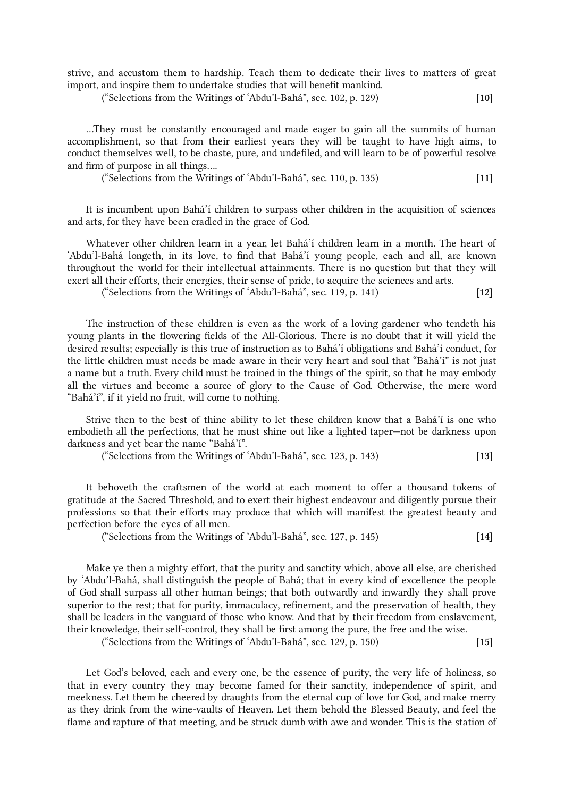strive, and accustom them to hardship. Teach them to dedicate their lives to matters of great import, and inspire them to undertake studies that will benefit mankind.

("Selections from the Writings of 'Abdu'l-Bahá", sec. 102, p. 129) [10]

...They must be constantly encouraged and made eager to gain all the summits of human accomplishment, so that from their earliest years they will be taught to have high aims, to conduct themselves well, to be chaste, pure, and undefiled, and will learn to be of powerful resolve and firm of purpose in all things....

("Selections from the Writings of 'Abdu'l-Bahá", sec. 110, p. 135) [11]

It is incumbent upon Bahá'í children to surpass other children in the acquisition of sciences and arts, for they have been cradled in the grace of God.

Whatever other children learn in a year, let Bahá'í children learn in a month. The heart of 'Abdu'l-Bahá longeth, in its love, to find that Bahá'í young people, each and all, are known throughout the world for their intellectual attainments. There is no question but that they will exert all their efforts, their energies, their sense of pride, to acquire the sciences and arts.

("Selections from the Writings of 'Abdu'l-Bahá", sec. 119, p. 141) [12]

The instruction of these children is even as the work of a loving gardener who tendeth his young plants in the flowering fields of the All-Glorious. There is no doubt that it will yield the desired results; especially is this true of instruction as to Bahá'í obligations and Bahá'í conduct, for the little children must needs be made aware in their very heart and soul that "Bahá'í" is not just a name but a truth. Every child must be trained in the things of the spirit, so that he may embody all the virtues and become a source of glory to the Cause of God. Otherwise, the mere word "Bahá'í", if it yield no fruit, will come to nothing.

Strive then to the best of thine ability to let these children know that a Bahá'í is one who embodieth all the perfections, that he must shine out like a lighted taper—not be darkness upon darkness and yet bear the name "Bahá'í".

("Selections from the Writings of 'Abdu'l-Bahá", sec. 123, p. 143) [13]

It behoveth the craftsmen of the world at each moment to offer a thousand tokens of gratitude at the Sacred Threshold, and to exert their highest endeavour and diligently pursue their professions so that their efforts may produce that which will manifest the greatest beauty and perfection before the eyes of all men.

("Selections from the Writings of 'Abdu'l-Bahá", sec. 127, p. 145) [14]

Make ye then a mighty effort, that the purity and sanctity which, above all else, are cherished by 'Abdu'l-Bahá, shall distinguish the people of Bahá; that in every kind of excellence the people of God shall surpass all other human beings; that both outwardly and inwardly they shall prove superior to the rest; that for purity, immaculacy, refinement, and the preservation of health, they shall be leaders in the vanguard of those who know. And that by their freedom from enslavement, their knowledge, their self-control, they shall be first among the pure, the free and the wise.

("Selections from the Writings of 'Abdu'l-Bahá", sec. 129, p. 150)  $[15]$ 

Let God's beloved, each and every one, be the essence of purity, the very life of holiness, so that in every country they may become famed for their sanctity, independence of spirit, and meekness. Let them be cheered by draughts from the eternal cup of love for God, and make merry as they drink from the wine-vaults of Heaven. Let them behold the Blessed Beauty, and feel the flame and rapture of that meeting, and be struck dumb with awe and wonder. This is the station of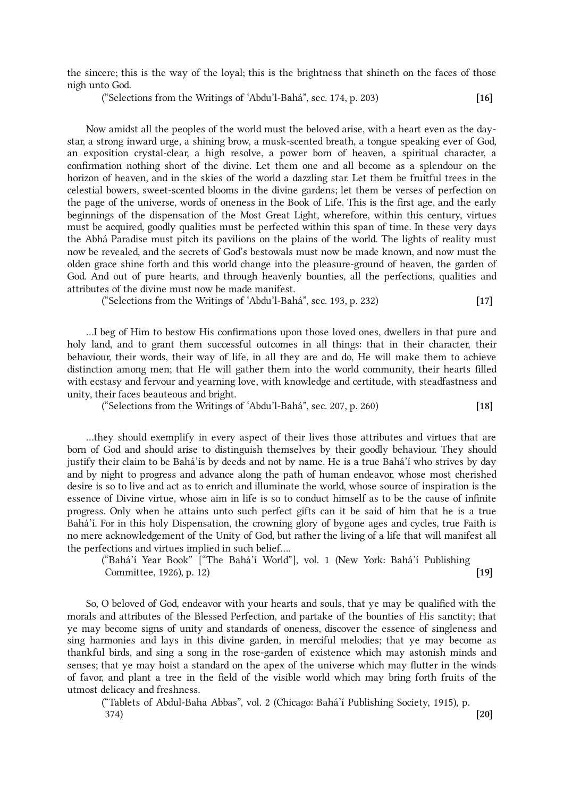the sincere; this is the way of the loyal; this is the brightness that shineth on the faces of those nigh unto God.

("Selections from the Writings of 'Abdu'l-Bahá", sec. 174, p. 203) [16]

Now amidst all the peoples of the world must the beloved arise, with a heart even as the daystar, a strong inward urge, a shining brow, a musk-scented breath, a tongue speaking ever of God, an exposition crystal-clear, a high resolve, a power born of heaven, a spiritual character, a confirmation nothing short of the divine. Let them one and all become as a splendour on the horizon of heaven, and in the skies of the world a dazzling star. Let them be fruitful trees in the celestial bowers, sweet-scented blooms in the divine gardens; let them be verses of perfection on the page of the universe, words of oneness in the Book of Life. This is the first age, and the early beginnings of the dispensation of the Most Great Light, wherefore, within this century, virtues must be acquired, goodly qualities must be perfected within this span of time. In these very days the Abhá Paradise must pitch its pavilions on the plains of the world. The lights of reality must now be revealed, and the secrets of God's bestowals must now be made known, and now must the olden grace shine forth and this world change into the pleasure-ground of heaven, the garden of God. And out of pure hearts, and through heavenly bounties, all the perfections, qualities and attributes of the divine must now be made manifest.

("Selections from the Writings of 'Abdu'l-Bahá", sec. 193, p. 232) [17]

...I beg of Him to bestow His confirmations upon those loved ones, dwellers in that pure and holy land, and to grant them successful outcomes in all things: that in their character, their behaviour, their words, their way of life, in all they are and do, He will make them to achieve distinction among men; that He will gather them into the world community, their hearts filled with ecstasy and fervour and yearning love, with knowledge and certitude, with steadfastness and unity, their faces beauteous and bright.

("Selections from the Writings of 'Abdu'l-Bahá", sec. 207, p. 260) [18]

...they should exemplify in every aspect of their lives those attributes and virtues that are born of God and should arise to distinguish themselves by their goodly behaviour. They should justify their claim to be Bahá'ís by deeds and not by name. He is a true Bahá'í who strives by day and by night to progress and advance along the path of human endeavor, whose most cherished desire is so to live and act as to enrich and illuminate the world, whose source of inspiration is the essence of Divine virtue, whose aim in life is so to conduct himself as to be the cause of infinite progress. Only when he attains unto such perfect gifts can it be said of him that he is a true Bahá'í. For in this holy Dispensation, the crowning glory of bygone ages and cycles, true Faith is no mere acknowledgement of the Unity of God, but rather the living of a life that will manifest all the perfections and virtues implied in such belief....

("Bahá'í Year Book" ["The Bahá'í World"], vol. 1 (New York: Bahá'í Publishing Committee, 1926), p. 12) [19]

So, O beloved of God, endeavor with your hearts and souls, that ye may be qualified with the morals and attributes of the Blessed Perfection, and partake of the bounties of His sanctity; that ye may become signs of unity and standards of oneness, discover the essence of singleness and sing harmonies and lays in this divine garden, in merciful melodies; that ye may become as thankful birds, and sing a song in the rose-garden of existence which may astonish minds and senses; that ye may hoist a standard on the apex of the universe which may flutter in the winds of favor, and plant a tree in the field of the visible world which may bring forth fruits of the utmost delicacy and freshness.

("Tablets of Abdul-Baha Abbas", vol. 2 (Chicago: Bahá'í Publishing Society, 1915), p.  $(20)$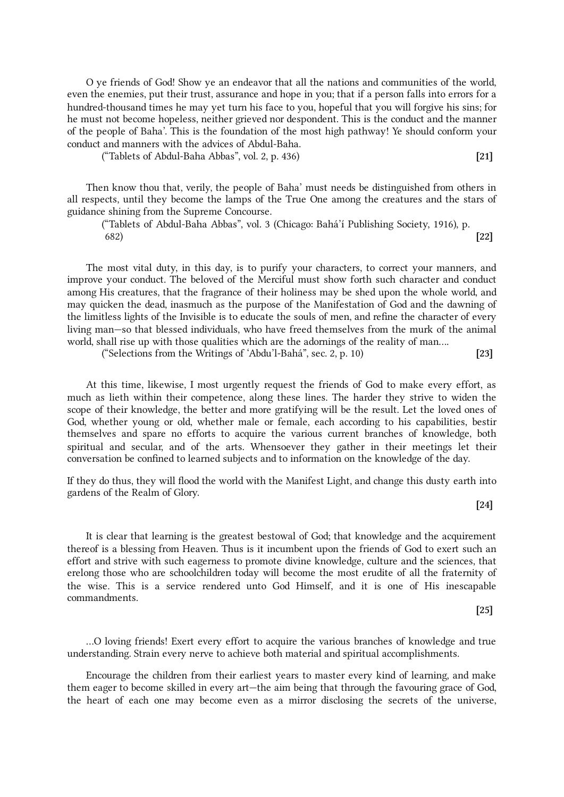O ye friends of God! Show ye an endeavor that all the nations and communities of the world, even the enemies, put their trust, assurance and hope in you; that if a person falls into errors for a hundred-thousand times he may yet turn his face to you, hopeful that you will forgive his sins; for he must not become hopeless, neither grieved nor despondent. This is the conduct and the manner of the people of Baha'. This is the foundation of the most high pathway! Ye should conform your conduct and manners with the advices of Abdul-Baha.

 $("Tables of Abdul-Baha Abbas", vol. 2, p. 436)$  [21]

Then know thou that, verily, the people of Baha' must needs be distinguished from others in all respects, until they become the lamps of the True One among the creatures and the stars of guidance shining from the Supreme Concourse.

("Tablets of Abdul-Baha Abbas", vol. 3 (Chicago: Bahá'í Publishing Society, 1916), p.  $(682)$  [22]

The most vital duty, in this day, is to purify your characters, to correct your manners, and improve your conduct. The beloved of the Merciful must show forth such character and conduct among His creatures, that the fragrance of their holiness may be shed upon the whole world, and may quicken the dead, inasmuch as the purpose of the Manifestation of God and the dawning of the limitless lights of the Invisible is to educate the souls of men, and refine the character of every living man—so that blessed individuals, who have freed themselves from the murk of the animal world, shall rise up with those qualities which are the adornings of the reality of man....

("Selections from the Writings of 'Abdu'l-Bahá", sec. 2, p. 10) [23]

At this time, likewise, I most urgently request the friends of God to make every effort, as much as lieth within their competence, along these lines. The harder they strive to widen the scope of their knowledge, the better and more gratifying will be the result. Let the loved ones of God, whether young or old, whether male or female, each according to his capabilities, bestir themselves and spare no efforts to acquire the various current branches of knowledge, both spiritual and secular, and of the arts. Whensoever they gather in their meetings let their conversation be confined to learned subjects and to information on the knowledge of the day.

If they do thus, they will flood the world with the Manifest Light, and change this dusty earth into gardens of the Realm of Glory.

[24]

It is clear that learning is the greatest bestowal of God; that knowledge and the acquirement thereof is a blessing from Heaven. Thus is it incumbent upon the friends of God to exert such an effort and strive with such eagerness to promote divine knowledge, culture and the sciences, that erelong those who are schoolchildren today will become the most erudite of all the fraternity of the wise. This is a service rendered unto God Himself, and it is one of His inescapable commandments.

[25]

...O loving friends! Exert every effort to acquire the various branches of knowledge and true understanding. Strain every nerve to achieve both material and spiritual accomplishments.

Encourage the children from their earliest years to master every kind of learning, and make them eager to become skilled in every art—the aim being that through the favouring grace of God, the heart of each one may become even as a mirror disclosing the secrets of the universe,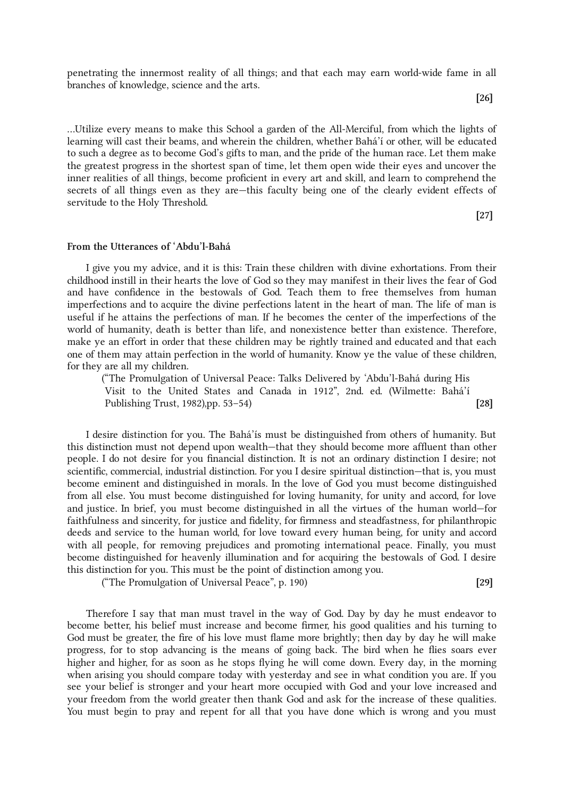penetrating the innermost reality of all things; and that each may earn world-wide fame in all branches of knowledge, science and the arts.

[26]

...Utilize every means to make this School a garden of the All-Merciful, from which the lights of learning will cast their beams, and wherein the children, whether Bahá'í or other, will be educated to such a degree as to become God's gifts to man, and the pride of the human race. Let them make the greatest progress in the shortest span of time, let them open wide their eyes and uncover the inner realities of all things, become proficient in every art and skill, and learn to comprehend the secrets of all things even as they are—this faculty being one of the clearly evident effects of servitude to the Holy Threshold.

[27]

#### From the Utterances of 'Abdu'l-Bahá

I give you my advice, and it is this: Train these children with divine exhortations. From their childhood instill in their hearts the love of God so they may manifest in their lives the fear of God and have confidence in the bestowals of God. Teach them to free themselves from human imperfections and to acquire the divine perfections latent in the heart of man. The life of man is useful if he attains the perfections of man. If he becomes the center of the imperfections of the world of humanity, death is better than life, and nonexistence better than existence. Therefore, make ye an effort in order that these children may be rightly trained and educated and that each one of them may attain perfection in the world of humanity. Know ye the value of these children, for they are all my children.

("The Promulgation of Universal Peace: Talks Delivered by 'Abdu'l-Bahá during His Visit to the United States and Canada in 1912", 2nd. ed. (Wilmette: Bahá'í Publishing Trust, 1982),pp. 53–54) [28]

I desire distinction for you. The Bahá'ís must be distinguished from others of humanity. But this distinction must not depend upon wealth—that they should become more affluent than other people. I do not desire for you financial distinction. It is not an ordinary distinction I desire; not scientific, commercial, industrial distinction. For you I desire spiritual distinction—that is, you must become eminent and distinguished in morals. In the love of God you must become distinguished from all else. You must become distinguished for loving humanity, for unity and accord, for love and justice. In brief, you must become distinguished in all the virtues of the human world—for faithfulness and sincerity, for justice and fidelity, for firmness and steadfastness, for philanthropic deeds and service to the human world, for love toward every human being, for unity and accord with all people, for removing prejudices and promoting international peace. Finally, you must become distinguished for heavenly illumination and for acquiring the bestowals of God. I desire this distinction for you. This must be the point of distinction among you.

("The Promulgation of Universal Peace", p. 190) [29]

Therefore I say that man must travel in the way of God. Day by day he must endeavor to become better, his belief must increase and become firmer, his good qualities and his turning to God must be greater, the fire of his love must flame more brightly; then day by day he will make progress, for to stop advancing is the means of going back. The bird when he flies soars ever higher and higher, for as soon as he stops flying he will come down. Every day, in the morning when arising you should compare today with yesterday and see in what condition you are. If you see your belief is stronger and your heart more occupied with God and your love increased and your freedom from the world greater then thank God and ask for the increase of these qualities. You must begin to pray and repent for all that you have done which is wrong and you must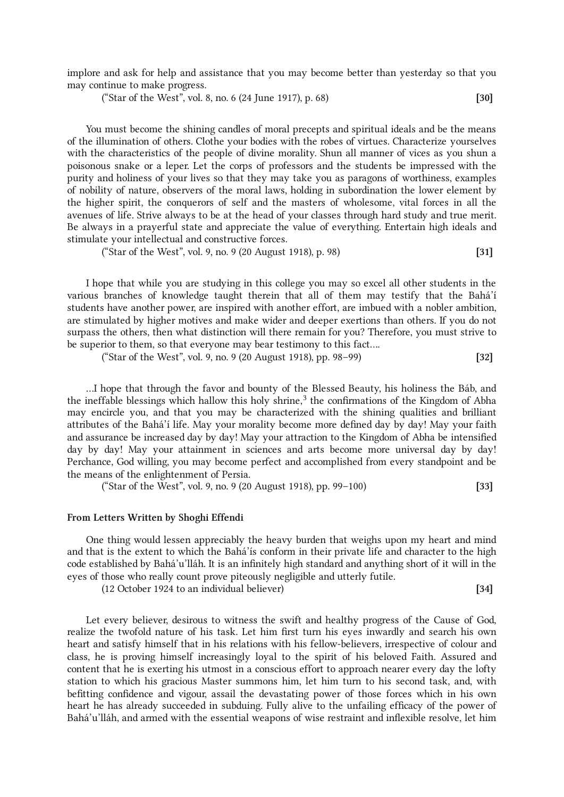implore and ask for help and assistance that you may become better than yesterday so that you may continue to make progress.

("Star of the West", vol. 8, no. 6 (24 June 1917), p. 68) [30]

You must become the shining candles of moral precepts and spiritual ideals and be the means of the illumination of others. Clothe your bodies with the robes of virtues. Characterize yourselves with the characteristics of the people of divine morality. Shun all manner of vices as you shun a poisonous snake or a leper. Let the corps of professors and the students be impressed with the purity and holiness of your lives so that they may take you as paragons of worthiness, examples of nobility of nature, observers of the moral laws, holding in subordination the lower element by the higher spirit, the conquerors of self and the masters of wholesome, vital forces in all the avenues of life. Strive always to be at the head of your classes through hard study and true merit. Be always in a prayerful state and appreciate the value of everything. Entertain high ideals and stimulate your intellectual and constructive forces.

("Star of the West", vol. 9, no. 9 (20 August 1918), p. 98) [31]

I hope that while you are studying in this college you may so excel all other students in the various branches of knowledge taught therein that all of them may testify that the Bahá'í students have another power, are inspired with another effort, are imbued with a nobler ambition, are stimulated by higher motives and make wider and deeper exertions than others. If you do not surpass the others, then what distinction will there remain for you? Therefore, you must strive to be superior to them, so that everyone may bear testimony to this fact....

("Star of the West", vol. 9, no. 9 (20 August 1918), pp. 98–99) [32]

<span id="page-6-0"></span>...I hope that through the favor and bounty of the Blessed Beauty, his holiness the Báb, and the ineffable blessings which hallow this holy shrine,<sup>[3](#page-11-2)</sup> the confirmations of the Kingdom of Abha may encircle you, and that you may be characterized with the shining qualities and brilliant attributes of the Bahá'í life. May your morality become more defined day by day! May your faith and assurance be increased day by day! May your attraction to the Kingdom of Abha be intensified day by day! May your attainment in sciences and arts become more universal day by day! Perchance, God willing, you may become perfect and accomplished from every standpoint and be the means of the enlightenment of Persia.

("Star of the West", vol. 9, no. 9 (20 August 1918), pp. 99–100) [33]

### From Letters Written by Shoghi Effendi

One thing would lessen appreciably the heavy burden that weighs upon my heart and mind and that is the extent to which the Bahá'ís conform in their private life and character to the high code established by Bahá'u'lláh. It is an infinitely high standard and anything short of it will in the eyes of those who really count prove piteously negligible and utterly futile.

(12 October 1924 to an individual believer) [34]

Let every believer, desirous to witness the swift and healthy progress of the Cause of God, realize the twofold nature of his task. Let him first turn his eyes inwardly and search his own heart and satisfy himself that in his relations with his fellow-believers, irrespective of colour and class, he is proving himself increasingly loyal to the spirit of his beloved Faith. Assured and content that he is exerting his utmost in a conscious effort to approach nearer every day the lofty station to which his gracious Master summons him, let him turn to his second task, and, with befitting confidence and vigour, assail the devastating power of those forces which in his own heart he has already succeeded in subduing. Fully alive to the unfailing efficacy of the power of Bahá'u'lláh, and armed with the essential weapons of wise restraint and inflexible resolve, let him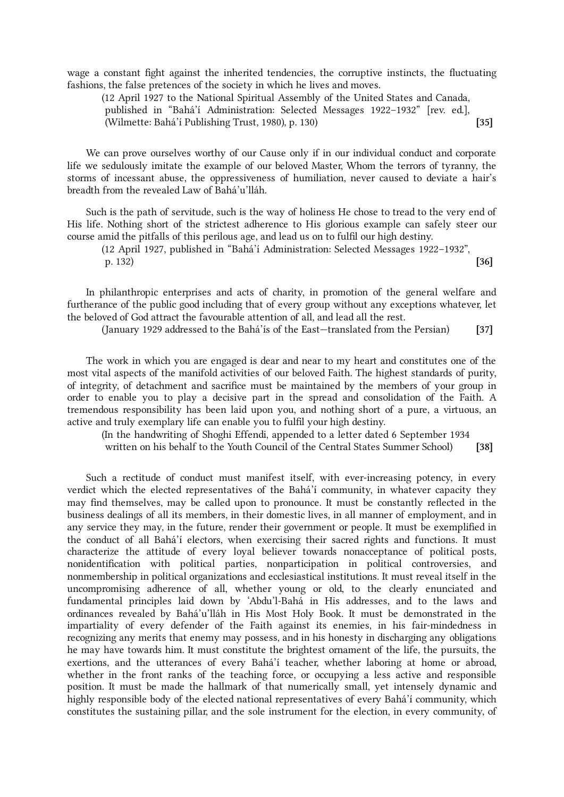wage a constant fight against the inherited tendencies, the corruptive instincts, the fluctuating fashions, the false pretences of the society in which he lives and moves.

(12 April 1927 to the National Spiritual Assembly of the United States and Canada, published in "Bahá'í Administration: Selected Messages 1922–1932" [rev. ed.],  $(Wilmette: Bahá'i Publishing Trust, 1980), p. 130)$  [35]

We can prove ourselves worthy of our Cause only if in our individual conduct and corporate life we sedulously imitate the example of our beloved Master, Whom the terrors of tyranny, the storms of incessant abuse, the oppressiveness of humiliation, never caused to deviate a hair's breadth from the revealed Law of Bahá'u'lláh.

Such is the path of servitude, such is the way of holiness He chose to tread to the very end of His life. Nothing short of the strictest adherence to His glorious example can safely steer our course amid the pitfalls of this perilous age, and lead us on to fulfil our high destiny.

(12 April 1927, published in "Bahá'í Administration: Selected Messages 1922–1932", p. 132) [36]  $\qquad \qquad$  [36]  $\qquad \qquad$  [36]  $\qquad \qquad$  [36]  $\qquad \qquad$  [36]  $\qquad \qquad$  [36]  $\qquad \qquad$  [36]  $\qquad \qquad$  [36]  $\qquad \qquad$  [36]  $\qquad \qquad$  [36]  $\qquad \qquad$  [36]  $\qquad \qquad$  [36]  $\qquad \qquad$  [36]  $\qquad \qquad$  [36]  $\qquad \qquad$  [36]  $\qquad \qquad$  [36

In philanthropic enterprises and acts of charity, in promotion of the general welfare and furtherance of the public good including that of every group without any exceptions whatever, let the beloved of God attract the favourable attention of all, and lead all the rest.

(January 1929 addressed to the Bahá'ís of the East—translated from the Persian) [37]

The work in which you are engaged is dear and near to my heart and constitutes one of the most vital aspects of the manifold activities of our beloved Faith. The highest standards of purity, of integrity, of detachment and sacrifice must be maintained by the members of your group in order to enable you to play a decisive part in the spread and consolidation of the Faith. A tremendous responsibility has been laid upon you, and nothing short of a pure, a virtuous, an active and truly exemplary life can enable you to fulfil your high destiny.

(In the handwriting of Shoghi Effendi, appended to a letter dated 6 September 1934

written on his behalf to the Youth Council of the Central States Summer School) [38]

Such a rectitude of conduct must manifest itself, with ever-increasing potency, in every verdict which the elected representatives of the Bahá'í community, in whatever capacity they may find themselves, may be called upon to pronounce. It must be constantly reflected in the business dealings of all its members, in their domestic lives, in all manner of employment, and in any service they may, in the future, render their government or people. It must be exemplified in the conduct of all Bahá'í electors, when exercising their sacred rights and functions. It must characterize the attitude of every loyal believer towards nonacceptance of political posts, nonidentification with political parties, nonparticipation in political controversies, and nonmembership in political organizations and ecclesiastical institutions. It must reveal itself in the uncompromising adherence of all, whether young or old, to the clearly enunciated and fundamental principles laid down by 'Abdu'l-Bahá in His addresses, and to the laws and ordinances revealed by Bahá'u'lláh in His Most Holy Book. It must be demonstrated in the impartiality of every defender of the Faith against its enemies, in his fair-mindedness in recognizing any merits that enemy may possess, and in his honesty in discharging any obligations he may have towards him. It must constitute the brightest ornament of the life, the pursuits, the exertions, and the utterances of every Bahá'í teacher, whether laboring at home or abroad, whether in the front ranks of the teaching force, or occupying a less active and responsible position. It must be made the hallmark of that numerically small, yet intensely dynamic and highly responsible body of the elected national representatives of every Bahá'í community, which constitutes the sustaining pillar, and the sole instrument for the election, in every community, of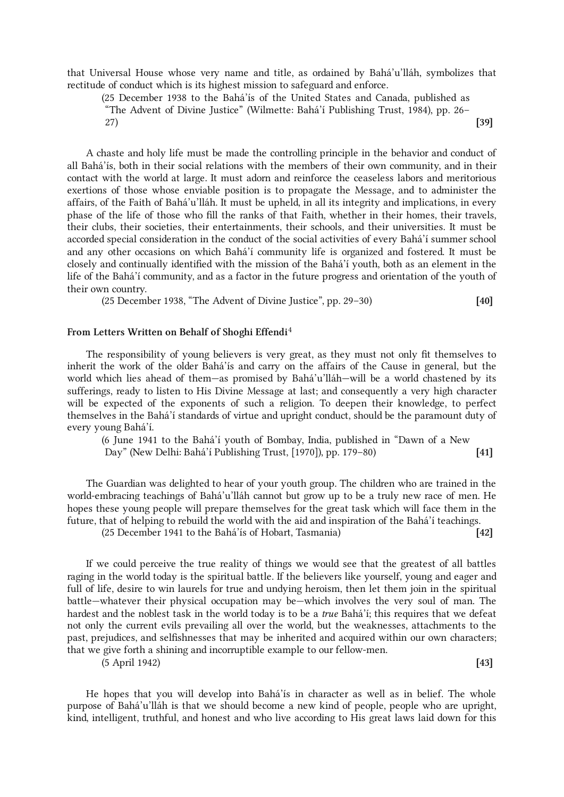that Universal House whose very name and title, as ordained by Bahá'u'lláh, symbolizes that rectitude of conduct which is its highest mission to safeguard and enforce.

(25 December 1938 to the Bahá'ís of the United States and Canada, published as

"The Advent of Divine Justice" (Wilmette: Bahá'í Publishing Trust, 1984), pp. 26–

 $(39)$ 

A chaste and holy life must be made the controlling principle in the behavior and conduct of all Bahá'ís, both in their social relations with the members of their own community, and in their contact with the world at large. It must adorn and reinforce the ceaseless labors and meritorious exertions of those whose enviable position is to propagate the Message, and to administer the affairs, of the Faith of Bahá'u'lláh. It must be upheld, in all its integrity and implications, in every phase of the life of those who fill the ranks of that Faith, whether in their homes, their travels, their clubs, their societies, their entertainments, their schools, and their universities. It must be accorded special consideration in the conduct of the social activities of every Bahá'í summer school and any other occasions on which Bahá'í community life is organized and fostered. It must be closely and continually identified with the mission of the Bahá'í youth, both as an element in the life of the Bahá'í community, and as a factor in the future progress and orientation of the youth of their own country.

(25 December 1938, "The Advent of Divine Justice", pp. 29–30) [40]

# <span id="page-8-0"></span>From Letters Written on Behalf of Shoghi Effendi<sup>[4](#page-11-3)</sup>

The responsibility of young believers is very great, as they must not only fit themselves to inherit the work of the older Bahá'ís and carry on the affairs of the Cause in general, but the world which lies ahead of them—as promised by Bahá'u'lláh—will be a world chastened by its sufferings, ready to listen to His Divine Message at last; and consequently a very high character will be expected of the exponents of such a religion. To deepen their knowledge, to perfect themselves in the Bahá'í standards of virtue and upright conduct, should be the paramount duty of every young Bahá'í.

(6 June 1941 to the Bahá'í youth of Bombay, India, published in "Dawn of a New Day" (New Delhi: Bahá'í Publishing Trust, [1970]), pp. 179–80) [41]

The Guardian was delighted to hear of your youth group. The children who are trained in the world-embracing teachings of Bahá'u'lláh cannot but grow up to be a truly new race of men. He hopes these young people will prepare themselves for the great task which will face them in the future, that of helping to rebuild the world with the aid and inspiration of the Bahá'í teachings.

(25 December 1941 to the Bahá'ís of Hobart, Tasmania) [42]

If we could perceive the true reality of things we would see that the greatest of all battles raging in the world today is the spiritual battle. If the believers like yourself, young and eager and full of life, desire to win laurels for true and undying heroism, then let them join in the spiritual battle—whatever their physical occupation may be—which involves the very soul of man. The hardest and the noblest task in the world today is to be a true Bahá'í; this requires that we defeat not only the current evils prevailing all over the world, but the weaknesses, attachments to the past, prejudices, and selfishnesses that may be inherited and acquired within our own characters; that we give forth a shining and incorruptible example to our fellow-men.

(5 April 1942) [43]

He hopes that you will develop into Bahá'ís in character as well as in belief. The whole purpose of Bahá'u'lláh is that we should become a new kind of people, people who are upright, kind, intelligent, truthful, and honest and who live according to His great laws laid down for this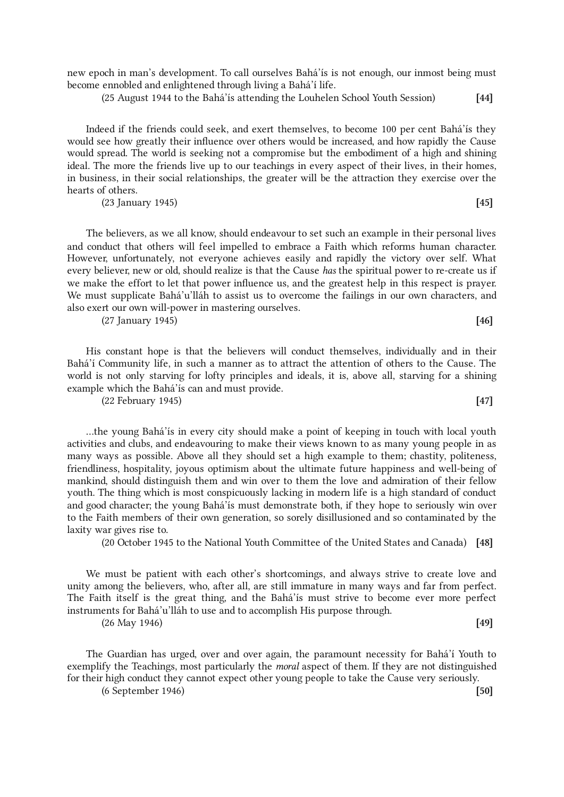new epoch in man's development. To call ourselves Bahá'ís is not enough, our inmost being must become ennobled and enlightened through living a Bahá'í life.

(25 August 1944 to the Bahá'ís attending the Louhelen School Youth Session) [44]

Indeed if the friends could seek, and exert themselves, to become 100 per cent Bahá'ís they would see how greatly their influence over others would be increased, and how rapidly the Cause would spread. The world is seeking not a compromise but the embodiment of a high and shining ideal. The more the friends live up to our teachings in every aspect of their lives, in their homes, in business, in their social relationships, the greater will be the attraction they exercise over the hearts of others.

(23 January 1945) [45]

The believers, as we all know, should endeavour to set such an example in their personal lives and conduct that others will feel impelled to embrace a Faith which reforms human character. However, unfortunately, not everyone achieves easily and rapidly the victory over self. What every believer, new or old, should realize is that the Cause has the spiritual power to re-create us if we make the effort to let that power influence us, and the greatest help in this respect is prayer. We must supplicate Bahá'u'lláh to assist us to overcome the failings in our own characters, and also exert our own will-power in mastering ourselves.

(27 January 1945) [46]

His constant hope is that the believers will conduct themselves, individually and in their Bahá'í Community life, in such a manner as to attract the attention of others to the Cause. The world is not only starving for lofty principles and ideals, it is, above all, starving for a shining example which the Bahá'ís can and must provide.

(22 February 1945) [47]

...the young Bahá'ís in every city should make a point of keeping in touch with local youth activities and clubs, and endeavouring to make their views known to as many young people in as many ways as possible. Above all they should set a high example to them; chastity, politeness, friendliness, hospitality, joyous optimism about the ultimate future happiness and well-being of mankind, should distinguish them and win over to them the love and admiration of their fellow youth. The thing which is most conspicuously lacking in modern life is a high standard of conduct and good character; the young Bahá'ís must demonstrate both, if they hope to seriously win over to the Faith members of their own generation, so sorely disillusioned and so contaminated by the laxity war gives rise to.

(20 October 1945 to the National Youth Committee of the United States and Canada) [48]

We must be patient with each other's shortcomings, and always strive to create love and unity among the believers, who, after all, are still immature in many ways and far from perfect. The Faith itself is the great thing, and the Bahá'ís must strive to become ever more perfect instruments for Bahá'u'lláh to use and to accomplish His purpose through.

(26 May 1946) [49]

The Guardian has urged, over and over again, the paramount necessity for Bahá'í Youth to exemplify the Teachings, most particularly the moral aspect of them. If they are not distinguished for their high conduct they cannot expect other young people to take the Cause very seriously.

 $(6 \text{ September } 1946)$  [50]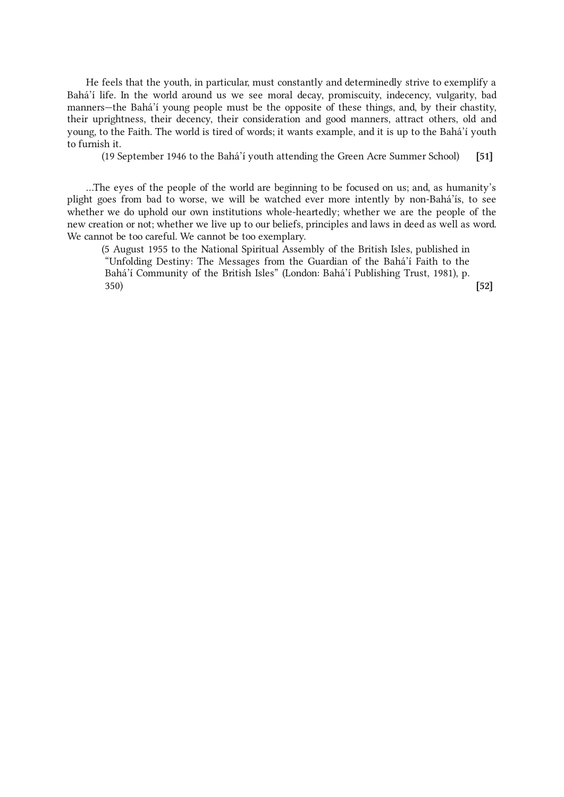He feels that the youth, in particular, must constantly and determinedly strive to exemplify a Bahá'í life. In the world around us we see moral decay, promiscuity, indecency, vulgarity, bad manners—the Bahá'í young people must be the opposite of these things, and, by their chastity, their uprightness, their decency, their consideration and good manners, attract others, old and young, to the Faith. The world is tired of words; it wants example, and it is up to the Bahá'í youth to furnish it.

(19 September 1946 to the Bahá'í youth attending the Green Acre Summer School) [51]

...The eyes of the people of the world are beginning to be focused on us; and, as humanity's plight goes from bad to worse, we will be watched ever more intently by non-Bahá'ís, to see whether we do uphold our own institutions whole-heartedly; whether we are the people of the new creation or not; whether we live up to our beliefs, principles and laws in deed as well as word. We cannot be too careful. We cannot be too exemplary.

(5 August 1955 to the National Spiritual Assembly of the British Isles, published in "Unfolding Destiny: The Messages from the Guardian of the Bahá'í Faith to the Bahá'í Community of the British Isles" (London: Bahá'í Publishing Trust, 1981), p.  $(52)$